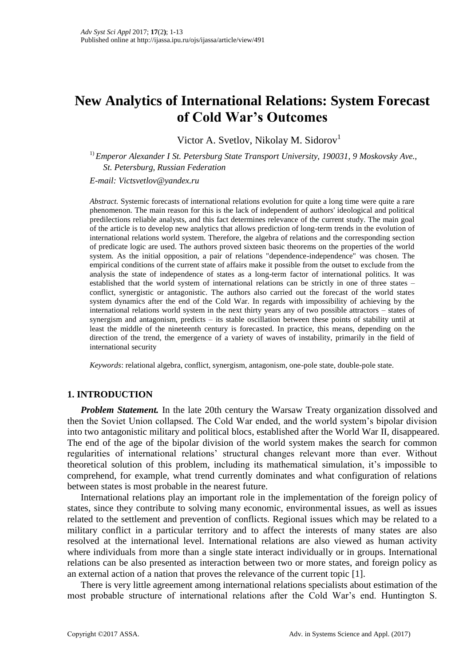# **New Analytics of International Relations: System Forecast of Cold War's Outcomes**

Victor A. Svetlov, Nikolay M. Sidorov<sup>1</sup>

<sup>1)</sup> *Emperor Alexander I St. Petersburg State Transport University, 190031, 9 Moskovsky Ave., St. Petersburg, Russian Federation*

*E-mail: Victsvetlov@yandex.ru*

*Abstract.* Systemic forecasts of international relations evolution for quite a long time were quite a rare phenomenon. The main reason for this is the lack of independent of authors' ideological and political predilections reliable analysts, and this fact determines relevance of the current study. The main goal of the article is to develop new analytics that allows prediction of long-term trends in the evolution of international relations world system. Therefore, the algebra of relations and the corresponding section of predicate logic are used. The authors proved sixteen basic theorems on the properties of the world system. As the initial opposition, a pair of relations "dependence-independence" was chosen. The empirical conditions of the current state of affairs make it possible from the outset to exclude from the analysis the state of independence of states as a long-term factor of international politics. It was established that the world system of international relations can be strictly in one of three states – conflict, synergistic or antagonistic. The authors also carried out the forecast of the world states system dynamics after the end of the Cold War. In regards with impossibility of achieving by the international relations world system in the next thirty years any of two possible attractors – states of synergism and antagonism, predicts – its stable oscillation between these points of stability until at least the middle of the nineteenth century is forecasted. In practice, this means, depending on the direction of the trend, the emergence of a variety of waves of instability, primarily in the field of international security

*Keywords*: relational algebra, conflict, synergism, antagonism, one-pole state, double-pole state.

# **1. INTRODUCTION**

*Problem Statement.* In the late 20th century the Warsaw Treaty organization dissolved and then the Soviet Union collapsed. The Cold War ended, and the world system's bipolar division into two antagonistic military and political blocs, established after the World War II, disappeared. The end of the age of the bipolar division of the world system makes the search for common regularities of international relations' structural changes relevant more than ever. Without theoretical solution of this problem, including its mathematical simulation, it's impossible to comprehend, for example, what trend currently dominates and what configuration of relations between states is most probable in the nearest future.

International relations play an important role in the implementation of the foreign policy of states, since they contribute to solving many economic, environmental issues, as well as issues related to the settlement and prevention of conflicts. Regional issues which may be related to a military conflict in a particular territory and to affect the interests of many states are also resolved at the international level. International relations are also viewed as human activity where individuals from more than a single state interact individually or in groups. International relations can be also presented as interaction between two or more states, and foreign policy as an external action of a nation that proves the relevance of the current topic [1].

There is very little agreement among international relations specialists about estimation of the most probable structure of international relations after the Cold War's end. Huntington S.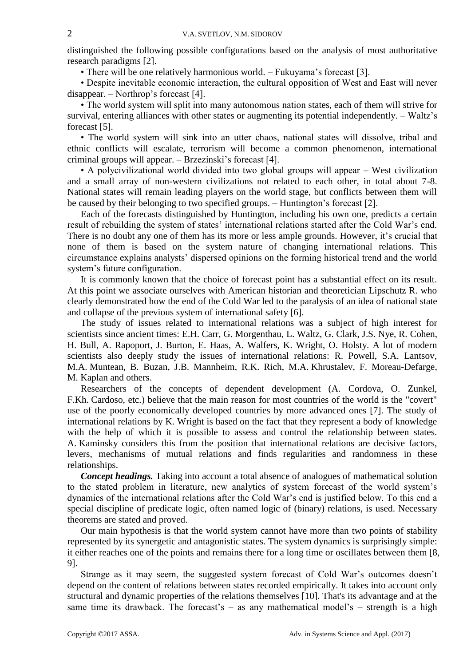distinguished the following possible configurations based on the analysis of most authoritative research paradigms [2].

• There will be one relatively harmonious world. – Fukuyama's forecast [3].

• Despite inevitable economic interaction, the cultural opposition of West and East will never disappear. – Northrop's forecast [4].

• The world system will split into many autonomous nation states, each of them will strive for survival, entering alliances with other states or augmenting its potential independently. – Waltz's forecast [5].

• The world system will sink into an utter chaos, national states will dissolve, tribal and ethnic conflicts will escalate, terrorism will become a common phenomenon, international criminal groups will appear. – Brzezinski's forecast [4].

• A polycivilizational world divided into two global groups will appear – West civilization and a small array of non-western civilizations not related to each other, in total about 7-8. National states will remain leading players on the world stage, but conflicts between them will be caused by their belonging to two specified groups. – Huntington's forecast [2].

Each of the forecasts distinguished by Huntington, including his own one, predicts a certain result of rebuilding the system of states' international relations started after the Cold War's end. There is no doubt any one of them has its more or less ample grounds. However, it's crucial that none of them is based on the system nature of changing international relations. This circumstance explains analysts' dispersed opinions on the forming historical trend and the world system's future configuration.

It is commonly known that the choice of forecast point has a substantial effect on its result. At this point we associate ourselves with American historian and theoretician Lipschutz R. who clearly demonstrated how the end of the Cold War led to the paralysis of an idea of national state and collapse of the previous system of international safety [6].

The study of issues related to international relations was a subject of high interest for scientists since ancient times: E.H. Carr, G. Morgenthau, L. Waltz, G. Clark, J.S. Nye, R. Cohen, H. Bull, A. Rapoport, J. Burton, E. Haas, A. Walfers, K. Wright, O. Holsty. A lot of modern scientists also deeply study the issues of international relations: R. Powell, S.A. Lantsov, M.A. Muntean, B. Buzan, J.B. Mannheim, R.K. Rich, M.A. Khrustalev, F. Moreau-Defarge, M. Kaplan and others.

Researchers of the concepts of dependent development (A. Cordova, O. Zunkel, F.Kh. Cardoso, etc.) believe that the main reason for most countries of the world is the "covert" use of the poorly economically developed countries by more advanced ones [7]. The study of international relations by K. Wright is based on the fact that they represent a body of knowledge with the help of which it is possible to assess and control the relationship between states. A. Kaminsky considers this from the position that international relations are decisive factors, levers, mechanisms of mutual relations and finds regularities and randomness in these relationships.

*Concept headings.* Taking into account a total absence of analogues of mathematical solution to the stated problem in literature, new analytics of system forecast of the world system's dynamics of the international relations after the Cold War's end is justified below. To this end a special discipline of predicate logic, often named logic of (binary) relations, is used. Necessary theorems are stated and proved.

Our main hypothesis is that the world system cannot have more than two points of stability represented by its synergetic and antagonistic states. The system dynamics is surprisingly simple: it either reaches one of the points and remains there for a long time or oscillates between them [8, 9].

Strange as it may seem, the suggested system forecast of Cold War's outcomes doesn't depend on the content of relations between states recorded empirically. It takes into account only structural and dynamic properties of the relations themselves [10]. That's its advantage and at the same time its drawback. The forecast's  $-$  as any mathematical model's  $-$  strength is a high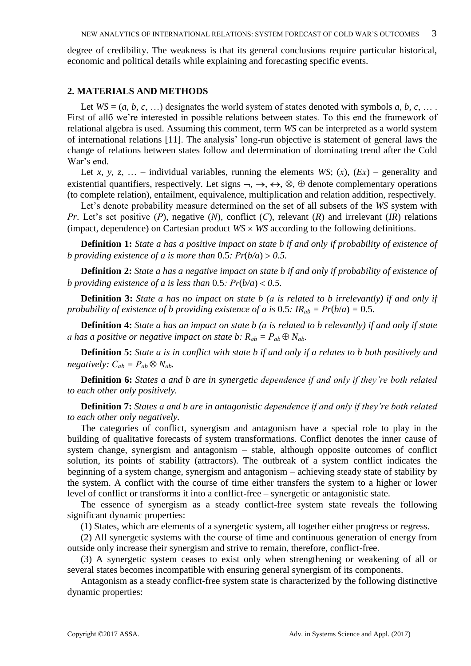degree of credibility. The weakness is that its general conclusions require particular historical, economic and political details while explaining and forecasting specific events.

## **2. MATERIALS AND METHODS**

Let  $WS = (a, b, c, ...)$  designates the world system of states denoted with symbols  $a, b, c, ...$ First of allб we're interested in possible relations between states. To this end the framework of relational algebra is used. Assuming this comment, term *WS* can be interpreted as a world system of international relations [11]. The analysis' long-run objective is statement of general laws the change of relations between states follow and determination of dominating trend after the Cold War's end.

Let *x*, *y*, *z*, ... – individual variables, running the elements *WS*; (*x*), (*Ex*) – generality and existential quantifiers, respectively. Let signs  $\neg, \rightarrow, \leftrightarrow, \otimes, \oplus$  denote complementary operations (to complete relation), entailment, equivalence, multiplication and relation addition, respectively.

Let's denote probability measure determined on the set of all subsets of the *WS* system with *Рr*. Let's set positive (*Р*), negative (*N*), conflict (*С*), relevant (*R*) and irrelevant (*IR*) relations (impact, dependence) on Cartesian product  $WS \times WS$  according to the following definitions.

**Definition 1:** *State a has a positive impact on state b if and only if probability of existence of b* providing existence of a is more than 0.5:  $Pr(b/a) > 0.5$ .

**Definition 2:** *State a has a negative impact on state b if and only if probability of existence of b* providing existence of a is less than 0.5:  $Pr(b/a) < 0.5$ .

**Definition 3:** *State a has no impact on state b (а is related to b irrelevantly) if and only if probability of existence of b providing existence of a is 0.5:*  $IR_{ab} = Pr(b/a) = 0.5$ *.* 

**Definition 4:** *State a has an impact on state b (а is related to b relevantly) if and only if state a* has a positive or negative impact on state b:  $R_{ab} = P_{ab} \oplus N_{ab}$ .

**Definition 5:** *State a is in conflict with state b if and only if a relates to b both positively and negatively:*  $C_{ab} = P_{ab} \otimes N_{ab}$ .

**Definition 6:** *States a and b are in synergetic dependence if and only if they're both related to each other only positively.*

**Definition 7:** *States a and b are in antagonistic dependence if and only if they're both related to each other only negatively.*

The categories of conflict, synergism and antagonism have a special role to play in the building of qualitative forecasts of system transformations. Conflict denotes the inner cause of system change, synergism and antagonism – stable, although opposite outcomes of conflict solution, its points of stability (attractors). The outbreak of a system conflict indicates the beginning of a system change, synergism and antagonism – achieving steady state of stability by the system. A conflict with the course of time either transfers the system to a higher or lower level of conflict or transforms it into a conflict-free – synergetic or antagonistic state.

The essence of synergism as a steady conflict-free system state reveals the following significant dynamic properties:

(1) States, which are elements of a synergetic system, all together either progress or regress.

(2) All synergetic systems with the course of time and continuous generation of energy from outside only increase their synergism and strive to remain, therefore, conflict-free.

(3) A synergetic system ceases to exist only when strengthening or weakening of all or several states becomes incompatible with ensuring general synergism of its components.

Antagonism as a steady conflict-free system state is characterized by the following distinctive dynamic properties: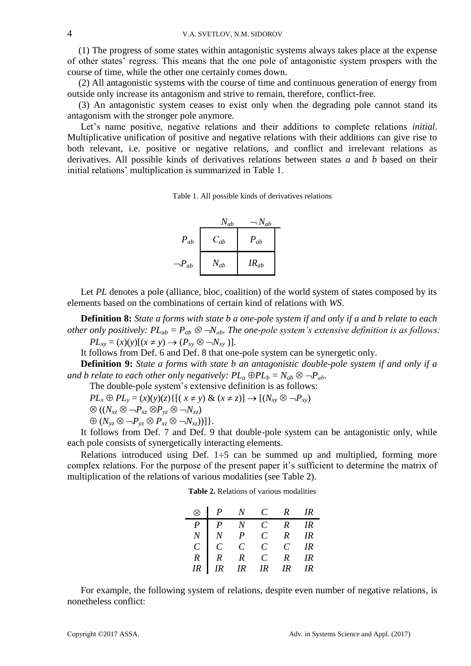(1) The progress of some states within antagonistic systems always takes place at the expense of other states' regress. This means that the one pole of antagonistic system prospers with the course of time, while the other one certainly comes down.

(2) All antagonistic systems with the course of time and continuous generation of energy from outside only increase its antagonism and strive to remain, therefore, conflict-free.

(3) An antagonistic system ceases to exist only when the degrading pole cannot stand its antagonism with the stronger pole anymore.

Let's name positive, negative relations and their additions to complete relations *initial*. Multiplicative unification of positive and negative relations with their additions can give rise to both relevant, i.e. positive or negative relations, and conflict and irrelevant relations as derivatives. All possible kinds of derivatives relations between states *a* and *b* based on their initial relations' multiplication is summarized in Table 1.

Table 1. All possible kinds of derivatives relations



Let *PL* denotes a pole (alliance, bloc, coalition) of the world system of states composed by its elements based on the combinations of certain kind of relations with *WS*.

**Definition 8:** *State a forms with state b a one-pole system if and only if a and b relate to each other only positively:*  $PL_{ab} = P_{ab} \otimes \neg N_{ab}$ . The one-pole system's extensive definition is as follows:  $PL_{xy} = (x)(y)[(x \neq y) \rightarrow (P_{xy} \otimes \neg N_{xy})].$ 

It follows from Def. 6 and Def. 8 that one-pole system can be synergetic only.

**Definition 9:** *State a forms with state b an antagonistic double-pole system if and only if a and b relate to each other only negatively:*  $PL_a \oplus PL_b = N_{ab} \otimes \neg P_{ab}$ .

The double-pole system's extensive definition is as follows:

 $PL_x \oplus PL_y = (x)(y)(z) \{[(x \neq y) \& (x \neq z)] \rightarrow [(N_{xy} \otimes \neg P_{xy})]$ 

$$
\otimes ((N_{xz} \otimes \neg P_{xz} \otimes P_{yz} \otimes \neg N_{xz})
$$

 $\bigoplus (N_{vz} \otimes \neg P_{vz} \otimes P_{xz} \otimes \neg N_{xz})\big]$ .

It follows from Def. 7 and Def. 9 that double-pole system can be antagonistic only, while each pole consists of synergetically interacting elements.

Relations introduced using Def.  $1\div 5$  can be summed up and multiplied, forming more complex relations. For the purpose of the present paper it's sufficient to determine the matrix of multiplication of the relations of various modalities (see Table 2).

**Table 2.** Relations of various modalities

|    | $\otimes$ $\begin{array}{ccc} P & N & C & R & IR \end{array}$                                                                                                                         |  |  |
|----|---------------------------------------------------------------------------------------------------------------------------------------------------------------------------------------|--|--|
|    | $\begin{array}{ccccccccccccc} & P & P & N & C & R & IR \\ N & N & P & C & R & IR \\ C & C & C & C & C & IR \\ R & R & R & C & R & IR \\ IR & IR & IR & IR & IR & IR & IR \end{array}$ |  |  |
|    |                                                                                                                                                                                       |  |  |
|    |                                                                                                                                                                                       |  |  |
|    |                                                                                                                                                                                       |  |  |
| IR |                                                                                                                                                                                       |  |  |

For example, the following system of relations, despite even number of negative relations, is nonetheless conflict: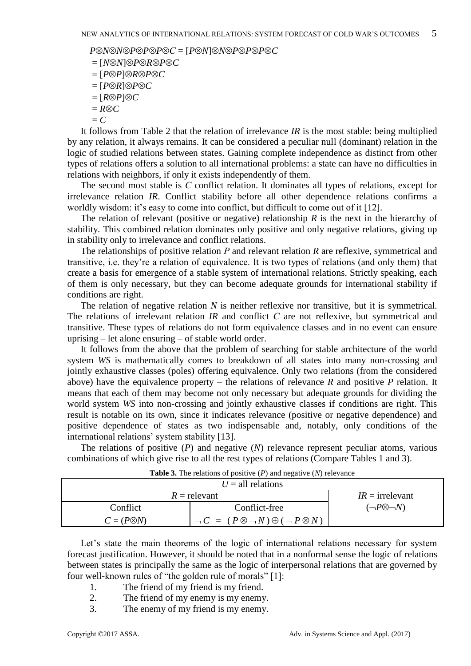*P*<sup>*⊘N⊗N*<sup>*⊘P*</sup>*P*<sup>*P*</sup>*P*<sup>*P*</sup>*P*<sup>*P*</sup>*P*<sup>*P*</sup>*P*<sup>*P*</sup>*P*<sup>*P*</sup>*P*<sup>*P*</sup>*P*<sup>*P*</sup>*P*<sup>*P*</sup>*P*<sup>*P*</sup>*P*<sup>*P*</sup>*P*<sup>*P*</sup>*P*<sup>*P*</sup>*P*<sup>*P*</sup>*P*<sup>*P*</sup>*P*<sup>*n*</sup>*P*<sup>*n*</sup>*P*<sup>*n*</sup>*P*<sup>*n*</sup>*n*<sup>*n*</sup>*n*<sup>*n*</sup>*n*<sup>*n*</sup>*n*<sup>*n*</sup>*n*<sup>*n*</sup>*n*<sup>*n*</sup>*n*</sup>

- = [*NN*]*PRPC*
- $=$   $[P \otimes P] \otimes R \otimes P \otimes C$
- $=$   $[P\otimes R]\otimes P\otimes C$
- $=$   $[R\otimes P]\otimes C$
- $=$   $R \otimes C$
- $=$   $\Gamma$

It follows from Table 2 that the relation of irrelevance *IR* is the most stable: being multiplied by any relation, it always remains. It can be considered a peculiar null (dominant) relation in the logic of studied relations between states. Gaining complete independence as distinct from other types of relations offers a solution to all international problems: a state can have no difficulties in relations with neighbors, if only it exists independently of them.

The second most stable is *C* conflict relation. It dominates all types of relations, except for irrelevance relation *IR*. Conflict stability before all other dependence relations confirms a worldly wisdom: it's easy to come into conflict, but difficult to come out of it [12].

The relation of relevant (positive or negative) relationship *R* is the next in the hierarchy of stability. This combined relation dominates only positive and only negative relations, giving up in stability only to irrelevance and conflict relations.

The relationships of positive relation *Р* and relevant relation *R* are reflexive, symmetrical and transitive, i.e. they're a relation of equivalence. It is two types of relations (and only them) that create a basis for emergence of a stable system of international relations. Strictly speaking, each of them is only necessary, but they can become adequate grounds for international stability if conditions are right.

The relation of negative relation *N* is neither reflexive nor transitive, but it is symmetrical. The relations of irrelevant relation *IR* and conflict *С* are not reflexive, but symmetrical and transitive. These types of relations do not form equivalence classes and in no event can ensure uprising – let alone ensuring – of stable world order.

It follows from the above that the problem of searching for stable architecture of the world system *WS* is mathematically comes to breakdown of all states into many non-crossing and jointly exhaustive classes (poles) offering equivalence. Only two relations (from the considered above) have the equivalence property – the relations of relevance *R* and positive *P* relation. It means that each of them may become not only necessary but adequate grounds for dividing the world system *WS* into non-crossing and jointly exhaustive classes if conditions are right. This result is notable on its own, since it indicates relevance (positive or negative dependence) and positive dependence of states as two indispensable and, notably, only conditions of the international relations' system stability [13].

The relations of positive (*P*) and negative (*N*) relevance represent peculiar atoms, various combinations of which give rise to all the rest types of relations (Compare Tables 1 and 3).

|                     | <b>Table 0.</b> The relations of positive $\langle T \rangle$ and negative $\langle T \rangle$ relevance |                                                         |                          |  |  |  |
|---------------------|----------------------------------------------------------------------------------------------------------|---------------------------------------------------------|--------------------------|--|--|--|
| $U =$ all relations |                                                                                                          |                                                         |                          |  |  |  |
|                     | $R =$ relevant                                                                                           | $IR =$ irrelevant                                       |                          |  |  |  |
|                     | Conflict                                                                                                 | Conflict-free                                           | $(\neg P\otimes \neg N)$ |  |  |  |
|                     | $C = (P \otimes N)$                                                                                      | $\neg C = (P \otimes \neg N) \oplus (\neg P \otimes N)$ |                          |  |  |  |

**Table 3.** The relations of positive (*P*) and negative (*N*) relevance

Let's state the main theorems of the logic of international relations necessary for system forecast justification. However, it should be noted that in a nonformal sense the logic of relations between states is principally the same as the logic of interpersonal relations that are governed by four well-known rules of "the golden rule of morals" [1]:

- 1. The friend of my friend is my friend.
- 2. The friend of my enemy is my enemy.
- 3. The enemy of my friend is my enemy.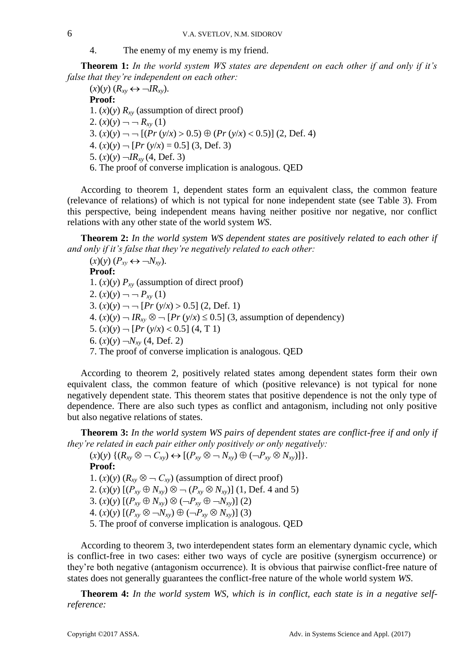4. The enemy of my enemy is my friend.

**Тheorem 1:** *In the world system WS states are dependent on each other if and only if it's false that they're independent on each other:*

 $(x)(y)$   $(R_{xy} \leftrightarrow \neg IR_{xy})$ . **Proof:** 1.  $(x)(y)$   $R_{xy}$  (assumption of direct proof) 2.  $(x)(y)$  –  $-R_{xy}(1)$ 3.  $(x)(y)$   $\rightarrow$   $\rightarrow$   $[(Pr(y/x) > 0.5) \oplus (Pr(y/x) < 0.5)]$  (2, Def. 4) 4.  $(x)(y)$   $\neg$   $[Pr(y/x) = 0.5]$  (3, Def. 3) 5.  $(x)(y)$   $\neg IR_{xy}$  (4, Def. 3) 6. The proof of converse implication is analogous. QED

According to theorem 1, dependent states form an equivalent class, the common feature (relevance of relations) of which is not typical for none independent state (see Table 3). From this perspective, being independent means having neither positive nor negative, nor conflict relations with any other state of the world system *WS*.

**Тheorem 2:** *In the world system WS dependent states are positively related to each other if and only if it's false that they're negatively related to each other:*

 $(X)(y)$   $(P_{xy} \leftrightarrow \neg N_{xy})$ . **Proof:** 1.  $(x)(y)$   $P_{xy}$  (assumption of direct proof) 2.  $(x)(y)$  –  $-P_{xy}(1)$ 3.  $(x)(y)$  —  $-[Pr(y/x) > 0.5]$  (2, Def. 1) 4.  $(x)(y)$   $\rightarrow$   $IR_{xy}$   $\otimes$   $\rightarrow$   $[Pr(y/x) \le 0.5]$  (3, assumption of dependency) 5.  $(x)(y)$   $\neg$   $[Pr(y/x) < 0.5]$   $(4, T 1)$ 6.  $(x)(y)$   $\neg N_{xy}$  (4, Def. 2) 7. The proof of converse implication is analogous. QED

According to theorem 2, positively related states among dependent states form their own equivalent class, the common feature of which (positive relevance) is not typical for none negatively dependent state. This theorem states that positive dependence is not the only type of dependence. There are also such types as conflict and antagonism, including not only positive but also negative relations of states.

**Тheorem 3:** *In the world system WS pairs of dependent states are conflict-free if and only if they're related in each pair either only positively or only negatively:*

 $(x)(y) \{ (R_x, \otimes \neg C_x) \leftrightarrow [(P_x, \otimes \neg N_x) \oplus (\neg P_x, \otimes N_x)] \}.$ **Proof:** 1.  $(x)(y)$  ( $R_{xy} \otimes \neg C_{xy}$ ) (assumption of direct proof) 2.  $(x)(y)$   $[(P_{xy} \oplus N_{xy}) \otimes \neg (P_{xy} \otimes N_{xy})]$   $(1, \text{Def. } 4 \text{ and } 5)$ 3.  $(x)(y)$   $[(P_{xy} \oplus N_{xy}) \otimes (-P_{xy} \oplus -N_{xy})]$  (2) 4.  $(x)(y)$   $[(P_{xy} \otimes \neg N_{xy}) \oplus (\neg P_{xy} \otimes N_{xy})]$  (3) 5. The proof of converse implication is analogous. QED

According to theorem 3, two interdependent states form an elementary dynamic cycle, which is conflict-free in two cases: either two ways of cycle are positive (synergism occurrence) or they're both negative (antagonism occurrence). It is obvious that pairwise conflict-free nature of states does not generally guarantees the conflict-free nature of the whole world system *WS*.

**Тheorem 4:** *In the world system WS, which is in conflict, each state is in a negative selfreference:*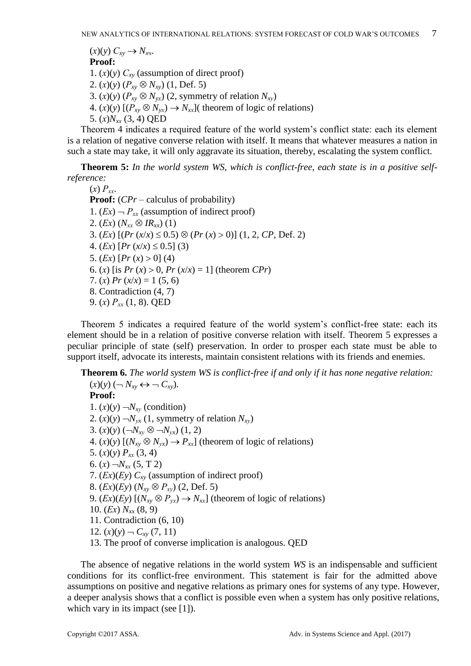$(X)(y) \n C_{xy} \rightarrow N_{xy}$ . **Proof:** 1.  $(x)(y)$   $C_{xy}$  (assumption of direct proof) 2.  $(x)(y)$   $(P_{xy} \otimes N_{xy})$  (1, Def. 5) 3.  $(x)(y)$  ( $P_{xy} \otimes N_{yx}$ ) (2, symmetry of relation  $N_{xy}$ ) 4.  $(x)(y)$   $[(P_{xy} \otimes N_{yx}) \rightarrow N_{xx}]$  (theorem of logic of relations) 5. (*х*)*Nxх* (3, 4) QED

Theorem 4 indicates a required feature of the world system's conflict state: each its element is a relation of negative converse relation with itself. It means that whatever measures a nation in such a state may take, it will only aggravate its situation, thereby, escalating the system conflict.

**Тheorem 5:** *In the world system WS, which is conflict-free, each state is in a positive selfreference:* 

 $(x)$   $P_{xx}$ . **Proof:** (*CPr* – calculus of probability) 1.  $(Ex)$   $\neg$   $P_{xx}$  (assumption of indirect proof) 2.  $(Ex)$   $(N_{xx} \otimes IR_{xx})$  (1) 3.  $(Ex)$   $[(Pr(x/x) \le 0.5) \otimes (Pr(x) > 0)]$   $(1, 2, CP, Def. 2)$ 4. (*Ex*)  $[Pr(x/x) \le 0.5]$  (3) 5.  $(Ex)$   $[Pr(x) > 0]$  (4) 6. (*x*) [is  $Pr(x) > 0$ ,  $Pr(x/x) = 1$ ] (theorem  $CPr$ ) 7. (*x*)  $Pr(x/x) = 1 (5, 6)$ 8. Contradiction (4, 7) 9. (*х*) *Рхх* (1, 8). QED

Theorem 5 indicates a required feature of the world system's conflict-free state: each its element should be in a relation of positive converse relation with itself. Тheorem 5 expresses a peculiar principle of state (self) preservation. In order to prosper each state must be able to support itself, advocate its interests, maintain consistent relations with its friends and enemies.

**Тheorem 6.** *The world system WS is conflict-free if and only if it has none negative relation:*

 $(x)(y)$   $\left(\neg N_{xy} \leftrightarrow \neg C_{xy}\right).$ **Proof:** 1.  $(x)(y)$   $\neg N_{xy}$  (condition) 2.  $(x)(y)$   $\neg N_{vx}$  (1, symmetry of relation  $N_{xv}$ ) 3.  $(x)(y)$  ( $\neg N_{xy} \otimes \neg N_{yx}$ ) (1, 2) 4.  $(x)(y)$   $[(N_{xy} \otimes N_{yx}) \rightarrow P_{xx}]$  (theorem of logic of relations) 5.  $(x)(y) P_{xx} (3, 4)$ 6.  $(x)$   $\neg N_{xx}$  (5, T 2) 7. (*Ех*)(*Еy*) *Cxy* (assumption of indirect proof) 8. (*Ех*)(*Еy*) (*Nxy Рху*) (2, Def. 5) 9.  $(Ex)(Ey)$   $[(N_{xy} \otimes P_{yx}) \rightarrow N_{xx}]$  (theorem of logic of relations) 10.  $(Ex) N_{rr} (8, 9)$ 11. Contradiction (6, 10) 12.  $(x)(y) - C_{xy} (7, 11)$ 13. The proof of converse implication is analogous. QED

The absence of negative relations in the world system *WS* is an indispensable and sufficient conditions for its conflict-free environment. This statement is fair for the admitted above assumptions on positive and negative relations as primary ones for systems of any type. However, a deeper analysis shows that a conflict is possible even when a system has only positive relations, which vary in its impact (see [1]).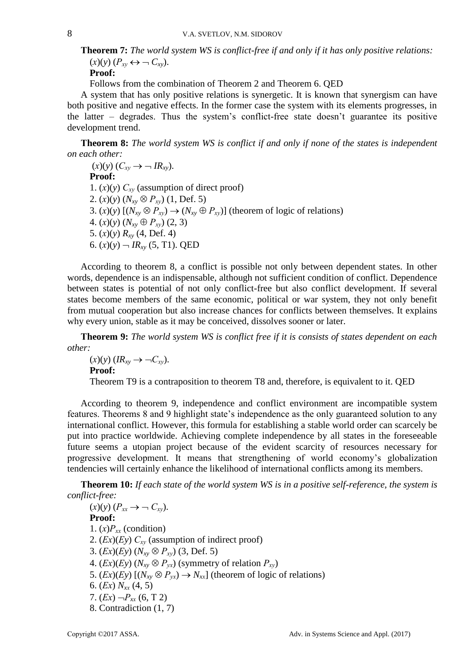**Тheorem 7:** *The world system WS is conflict-free if and only if it has only positive relations:*   $(x)(y)$   $(P_{xy} \leftrightarrow \neg C_{xy})$ .

**Proof:**

Follows from the combination of Тheorem 2 and Theorem 6. QED

A system that has only positive relations is synergetic. It is known that synergism can have both positive and negative effects. In the former case the system with its elements progresses, in the latter – degrades. Thus the system's conflict-free state doesn't guarantee its positive development trend.

**Тheorem 8:** *The world system WS is conflict if and only if none of the states is independent on each other:* 

 $(x)(y) (C_{xy} \rightarrow \neg IR_{xy}).$ **Proof:** 1.  $(x)(y)$   $C_{xy}$  (assumption of direct proof) 2.  $(x)(y)$   $(N_{xy} \otimes P_{xy})$   $(1, \text{Def. } 5)$ 3.  $(x)(y)$   $[(N_{xy} \otimes P_{xy}) \rightarrow (N_{xy} \oplus P_{xy})]$  (theorem of logic of relations) 4.  $(x)(y) (N_{xy} \oplus P_{xy}) (2, 3)$ 5. (*х*)(*y*) *Rxy* (4, Def. 4) 6.  $(x)(y)$   $\rightarrow$   $IR_{xy}$  (5, T1). QED

According to theorem 8, a conflict is possible not only between dependent states. In other words, dependence is an indispensable, although not sufficient condition of conflict. Dependence between states is potential of not only conflict-free but also conflict development. If several states become members of the same economic, political or war system, they not only benefit from mutual cooperation but also increase chances for conflicts between themselves. It explains why every union, stable as it may be conceived, dissolves sooner or later.

**Тheorem 9:** *The world system WS is conflict free if it is consists of states dependent on each other:*

 $(X)(y)$   $(IR_{xy} \rightarrow \neg C_{xy}).$ **Proof:**

Theorem T9 is a contraposition to theorem T8 and, therefore, is equivalent to it. QED

According to theorem 9, independence and conflict environment are incompatible system features. Theorems 8 and 9 highlight state's independence as the only guaranteed solution to any international conflict. However, this formula for establishing a stable world order can scarcely be put into practice worldwide. Achieving complete independence by all states in the foreseeable future seems a utopian project because of the evident scarcity of resources necessary for progressive development. It means that strengthening of world economy's globalization tendencies will certainly enhance the likelihood of international conflicts among its members.

**Тheorem 10:** *If each state of the world system WS is in a positive self-reference, the system is conflict-free:* 

 $(X)(y)$   $(P_{xx} \rightarrow \neg C_{xy})$ . **Proof:** 1.  $(x)P_{xx}$  (condition) 2. (*Ех*)(*Еy*) *Сху* (assumption of indirect proof) 3. (*Ех*)(*Еy*) (*Nxy Рху*) (3, Def. 5) 4.  $(Ex)(Ey)$   $(N_{xy} \otimes P_{yx})$  (symmetry of relation  $P_{xy}$ ) 5.  $(Ex)(Ey)$   $[(N_{xy} \otimes P_{yx}) \rightarrow N_{xx}]$  (theorem of logic of relations) 6. (*Ех*) *Nxх* (4, 5) 7.  $(Ex) \neg P_{xx}$  (6, T 2) 8. Contradiction (1, 7)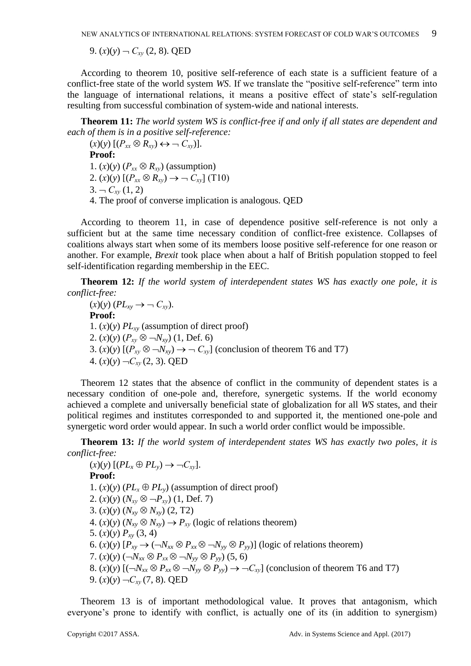9.  $(x)(y)$  –  $C_{xy}$  (2, 8). QED

According to theorem 10, positive self-reference of each state is a sufficient feature of a conflict-free state of the world system *WS*. If we translate the "positive self-reference" term into the language of international relations, it means a positive effect of state's self-regulation resulting from successful combination of system-wide and national interests.

**Тheorem 11:** *The world system WS is conflict-free if and only if all states are dependent and each of them is in a positive self-reference:* 

 $(x)(y)$   $[(P_{xx} \otimes R_{xy}) \leftrightarrow \neg C_{xy})]$ . **Proof:** 1. (*x*)(*y*) ( $P_{xx} \otimes R_{xy}$ ) (assumption) 2.  $(x)(y)$   $[(P_{xx} \otimes R_{xy}) \rightarrow G_{xy}]$  (T10)  $3. - C_{xy}(1, 2)$ 4. The proof of converse implication is analogous. QED

According to theorem 11, in case of dependence positive self-reference is not only a sufficient but at the same time necessary condition of conflict-free existence. Collapses of coalitions always start when some of its members loose positive self-reference for one reason or another. For example, *Brexit* took place when about a half of British population stopped to feel self-identification regarding membership in the EEC.

**Тheorem 12:** *If the world system of interdependent states WS has exactly one pole, it is conflict-free:* 

 $(x)(y)$   $(PL_{xy} \rightarrow \neg C_{xy}).$ **Proof:** 1.  $(x)(y)$  *PL*<sub>*xy*</sub> (assumption of direct proof) 2.  $(x)(y)$   $(P_{xy} \otimes \neg N_{xy})$   $(1, \text{Def. } 6)$ 3.  $(x)(y)$   $[(P_{xy} \otimes \neg N_{xy}) \rightarrow \neg C_{xy}]$  (conclusion of theorem T6 and T7) 4.  $(x)(y)$   $\neg C_{xy}$  (2, 3). QED

Theorem 12 states that the absence of conflict in the community of dependent states is a necessary condition of one-pole and, therefore, synergetic systems. If the world economy achieved a complete and universally beneficial state of globalization for all *WS* states, and their political regimes and institutes corresponded to and supported it, the mentioned one-pole and synergetic word order would appear. In such a world order conflict would be impossible.

**Тheorem 13:** *If the world system of interdependent states WS has exactly two poles, it is conflict-free:* 

 $(x)(y)$   $[(PL_x \oplus PL_y) \rightarrow \neg C_{xy}]$ . **Proof:** 1.  $(x)(y)$  ( $PL_x \oplus PL_y$ ) (assumption of direct proof) 2.  $(x)(y)$   $(N_{xy} \otimes \neg P_{xy})$   $(1, \text{Def. 7})$ 3.  $(x)(y) (N_{xy} \otimes N_{xy}) (2, T2)$ 4.  $(x)(y) (N_{xy} \otimes N_{xy}) \rightarrow P_{xy}$  (logic of relations theorem) 5.  $(x)(y) P_{xy} (3, 4)$ 6. (*x*)(*y*)  $[P_{xy} \rightarrow (\neg N_{xx} \otimes P_{xx} \otimes \neg N_{yy} \otimes P_{yy})]$  (logic of relations theorem) 7.  $(x)(y)$  ( $\neg N_{xx} \otimes P_{xx} \otimes \neg N_{yy} \otimes P_{yy}$ ) (5, 6) 8. (*x*)(*y*)  $[(-N_{xx} \otimes P_{xx} \otimes -N_{yy} \otimes P_{yy}) \rightarrow -C_{xy}$  (conclusion of theorem T6 and T7) 9.  $(x)(y)$   $\neg C_{xy}$  (7, 8). QED

Theorem 13 is of important methodological value. It proves that antagonism, which everyone's prone to identify with conflict, is actually one of its (in addition to synergism)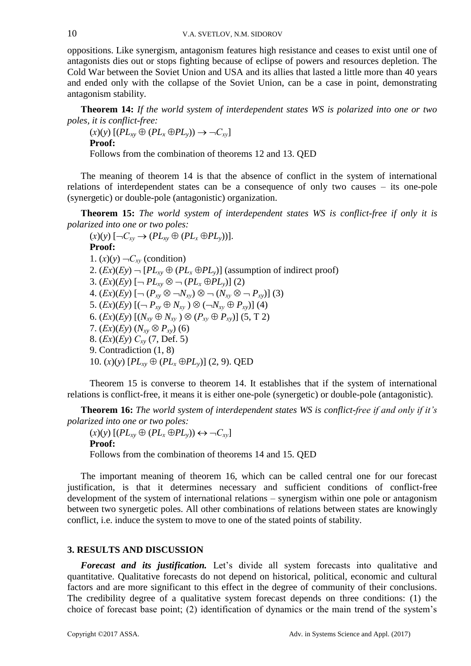oppositions. Like synergism, antagonism features high resistance and ceases to exist until one of antagonists dies out or stops fighting because of eclipse of powers and resources depletion. The Cold War between the Soviet Union and USA and its allies that lasted a little more than 40 years and ended only with the collapse of the Soviet Union, can be a case in point, demonstrating antagonism stability.

**Тheorem 14:** *If the world system of interdependent states WS is polarized into one or two poles, it is conflict-free:* 

 $(X)(y)$   $[(PL_{xy} \oplus (PL_x \oplus PL_y)) \rightarrow \neg C_{xy}]$ **Proof:**

Follows from the combination of theorems 12 and 13. QED

The meaning of theorem 14 is that the absence of conflict in the system of international relations of interdependent states can be a consequence of only two causes – its one-pole (synergetic) or double-pole (antagonistic) organization.

**Тheorem 15:** *The world system of interdependent states WS is conflict-free if only it is polarized into one or two poles:* 

 $(x)(y) \left[ \neg C_{xy} \rightarrow (PL_{xy} \oplus (PL_x \oplus PL_y)) \right].$ **Proof:** 1.  $(x)(y)$   $\neg C_{xy}$  (condition) 2.  $(Ex)(Ey)$   $\neg$   $[PL_{xy} \oplus (PL_x \oplus PL_y)]$  (assumption of indirect proof) 3.  $(Ex)(Ey)$   $[-PL_{xy}\otimes -(PL_x\oplus PL_y)]$  (2) 4.  $(Ex)(Ey)$   $[ \neg (P_{xy} \otimes \neg N_{xy}) \otimes \neg (N_{xy} \otimes \neg P_{xy}) ]$  (3) 5.  $(Ex)(Ey) [(-P_{xy} \oplus N_{xy}) \otimes (-N_{xy} \oplus P_{xy})]$  (4) 6.  $(Ex)(Ey)$   $[(N_{xy} \oplus N_{xy}) \otimes (P_{xy} \oplus P_{xy})]$  (5, T 2) 7.  $(Ex)(Ey) (N_{xy} \otimes P_{xy})$  (6) 8. (*Ех*)(*Еy*) *Схy* (7, Def. 5) 9. Contradiction (1, 8) 10.  $(x)(y)$   $[PL_{xy} \oplus (PL_x \oplus PL_y)]$  (2, 9). QED

Theorem 15 is converse to theorem 14. It establishes that if the system of international relations is conflict-free, it means it is either one-pole (synergetic) or double-pole (antagonistic).

**Тheorem 16:** *The world system of interdependent states WS is conflict-free if and only if it's polarized into one or two poles:* 

 $(X)(y)$   $[(PL_{xy} \oplus (PL_x \oplus PL_y)) \leftrightarrow \neg C_{xy}]$ **Proof:** Follows from the combination of theorems 14 and 15. QED

The important meaning of theorem 16, which can be called central one for our forecast justification, is that it determines necessary and sufficient conditions of conflict-free development of the system of international relations – synergism within one pole or antagonism between two synergetic poles. All other combinations of relations between states are knowingly conflict, i.e. induce the system to move to one of the stated points of stability.

#### **3. RESULTS AND DISCUSSION**

*Forecast and its justification.* Let's divide all system forecasts into qualitative and quantitative. Qualitative forecasts do not depend on historical, political, economic and cultural factors and are more significant to this effect in the degree of community of their conclusions. The credibility degree of a qualitative system forecast depends on three conditions: (1) the choice of forecast base point; (2) identification of dynamics or the main trend of the system's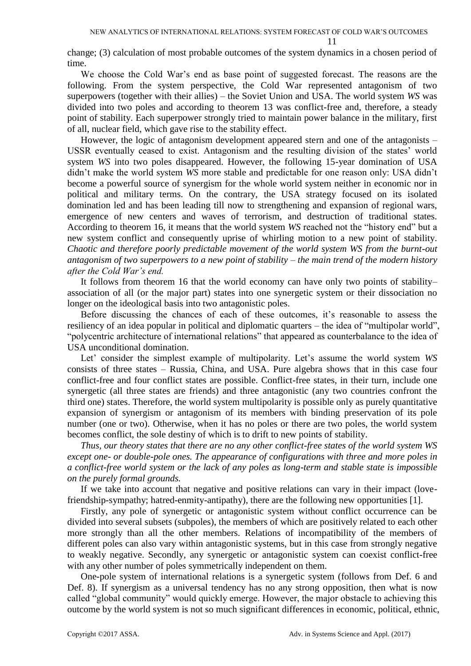11

change; (3) calculation of most probable outcomes of the system dynamics in a chosen period of time.

We choose the Cold War's end as base point of suggested forecast. The reasons are the following. From the system perspective, the Cold War represented antagonism of two superpowers (together with their allies) – the Soviet Union and USA. The world system *WS* was divided into two poles and according to theorem 13 was conflict-free and, therefore, a steady point of stability. Each superpower strongly tried to maintain power balance in the military, first of all, nuclear field, which gave rise to the stability effect.

However, the logic of antagonism development appeared stern and one of the antagonists – USSR eventually ceased to exist. Antagonism and the resulting division of the states' world system *WS* into two poles disappeared. However, the following 15-year domination of USA didn't make the world system *WS* more stable and predictable for one reason only: USA didn't become a powerful source of synergism for the whole world system neither in economic nor in political and military terms. On the contrary, the USA strategy focused on its isolated domination led and has been leading till now to strengthening and expansion of regional wars, emergence of new centers and waves of terrorism, and destruction of traditional states. According to theorem 16, it means that the world system *WS* reached not the "history end" but a new system conflict and consequently uprise of whirling motion to a new point of stability. *Chaotic and therefore poorly predictable movement of the world system WS from the burnt-out antagonism of two superpowers to a new point of stability – the main trend of the modern history after the Cold War's end.* 

It follows from theorem 16 that the world economy can have only two points of stability– association of all (or the major part) states into one synergetic system or their dissociation no longer on the ideological basis into two antagonistic poles.

Before discussing the chances of each of these outcomes, it's reasonable to assess the resiliency of an idea popular in political and diplomatic quarters – the idea of "multipolar world", "polycentric architecture of international relations" that appeared as counterbalance to the idea of USA unconditional domination.

Let' consider the simplest example of multipolarity. Let's assume the world system *WS*  consists of three states – Russia, China, and USA. Pure algebra shows that in this case four conflict-free and four conflict states are possible. Conflict-free states, in their turn, include one synergetic (all three states are friends) and three antagonistic (any two countries confront the third one) states. Therefore, the world system multipolarity is possible only as purely quantitative expansion of synergism or antagonism of its members with binding preservation of its pole number (one or two). Otherwise, when it has no poles or there are two poles, the world system becomes conflict, the sole destiny of which is to drift to new points of stability.

*Thus, our theory states that there are no any other conflict-free states of the world system WS except one- or double-pole ones. The appearance of configurations with three and more poles in a conflict-free world system or the lack of any poles as long-term and stable state is impossible on the purely formal grounds.* 

If we take into account that negative and positive relations can vary in their impact (lovefriendship-sympathy; hatred-enmity-antipathy), there are the following new opportunities [1].

Firstly, any pole of synergetic or antagonistic system without conflict occurrence can be divided into several subsets (subpoles), the members of which are positively related to each other more strongly than all the other members. Relations of incompatibility of the members of different poles can also vary within antagonistic systems, but in this case from strongly negative to weakly negative. Secondly, any synergetic or antagonistic system can coexist conflict-free with any other number of poles symmetrically independent on them.

One-pole system of international relations is a synergetic system (follows from Def. 6 and Def. 8). If synergism as a universal tendency has no any strong opposition, then what is now called "global community" would quickly emerge. However, the major obstacle to achieving this outcome by the world system is not so much significant differences in economic, political, ethnic,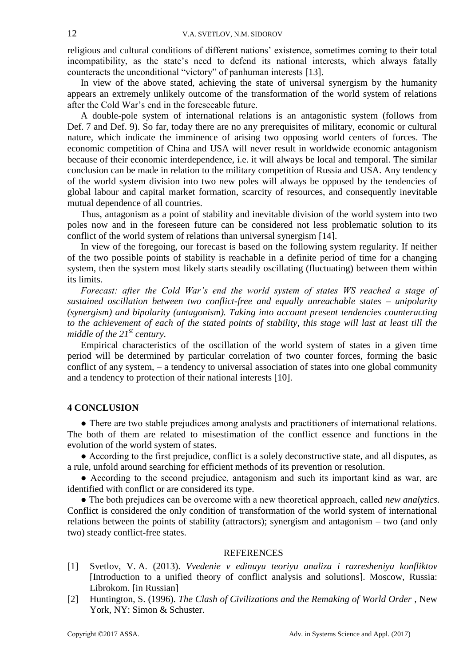religious and cultural conditions of different nations' existence, sometimes coming to their total incompatibility, as the state's need to defend its national interests, which always fatally counteracts the unconditional "victory" of panhuman interests [13].

In view of the above stated, achieving the state of universal synergism by the humanity appears an extremely unlikely outcome of the transformation of the world system of relations after the Cold War's end in the foreseeable future.

A double-pole system of international relations is an antagonistic system (follows from Def. 7 and Def. 9). So far, today there are no any prerequisites of military, economic or cultural nature, which indicate the imminence of arising two opposing world centers of forces. The economic competition of China and USA will never result in worldwide economic antagonism because of their economic interdependence, i.e. it will always be local and temporal. The similar conclusion can be made in relation to the military competition of Russia and USA. Any tendency of the world system division into two new poles will always be opposed by the tendencies of global labour and capital market formation, scarcity of resources, and consequently inevitable mutual dependence of all countries.

Thus, antagonism as a point of stability and inevitable division of the world system into two poles now and in the foreseen future can be considered not less problematic solution to its conflict of the world system of relations than universal synergism [14].

In view of the foregoing, our forecast is based on the following system regularity. If neither of the two possible points of stability is reachable in a definite period of time for a changing system, then the system most likely starts steadily oscillating (fluctuating) between them within its limits.

*Forecast: after the Cold War's end the world system of states WS reached a stage of sustained oscillation between two conflict-free and equally unreachable states – unipolarity (synergism) and bipolarity (antagonism). Taking into account present tendencies counteracting to the achievement of each of the stated points of stability, this stage will last at least till the middle of the 21st century.* 

Empirical characteristics of the oscillation of the world system of states in a given time period will be determined by particular correlation of two counter forces, forming the basic conflict of any system, – a tendency to universal association of states into one global community and a tendency to protection of their national interests [10].

## **4 CONCLUSION**

● There are two stable prejudices among analysts and practitioners of international relations. The both of them are related to misestimation of the conflict essence and functions in the evolution of the world system of states.

● According to the first prejudice, conflict is a solely deconstructive state, and all disputes, as a rule, unfold around searching for efficient methods of its prevention or resolution.

• According to the second prejudice, antagonism and such its important kind as war, are identified with conflict or are considered its type.

● The both prejudices can be overcome with a new theoretical approach, called *new analytics*. Conflict is considered the only condition of transformation of the world system of international relations between the points of stability (attractors); synergism and antagonism – two (and only two) steady conflict-free states.

#### **REFERENCES**

- [1] Svetlov, V. A. (2013). *Vvedenie v edinuyu teoriyu analiza i razresheniya konfliktov* [Introduction to a unified theory of conflict analysis and solutions]. Moscow, Russia: Librokom. [in Russian]
- [2] Huntington, S. (1996). *The Clash of Civilizations and the Remaking of World Order* , New York, NY: Simon & Schuster.